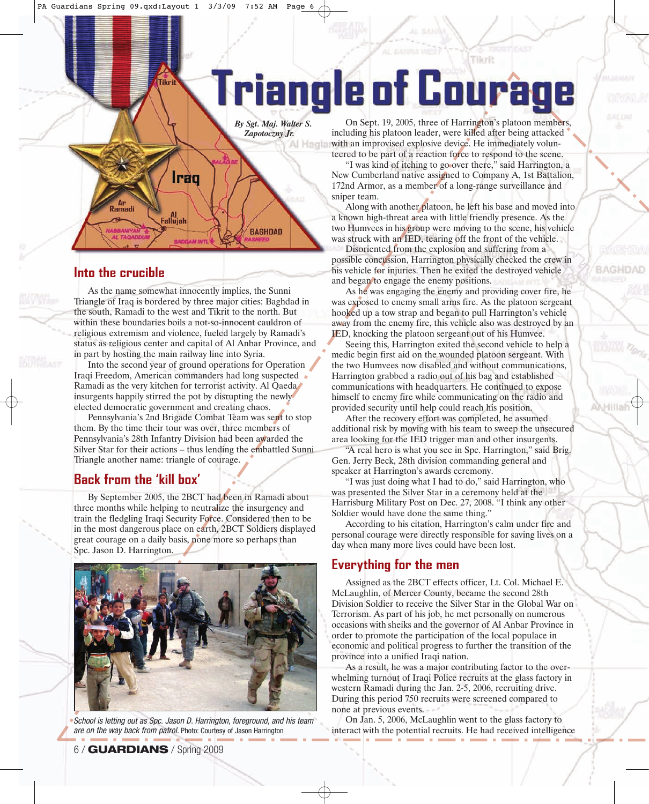# **Triangle of Courag**

*By Sgt. Maj. Walter S. Zapotoczny Jr.*

Iraq **Ar**<br>Ramadi Fallujah **BAGHDAD** 

Tikri

### Into the crucible

**INTO THE CRUCIBLE**<br>
As the name somewhat innocently implies, the Sunni Triangle of Iraq is bordered by three major cities: Baghdad in the south, Ramadi to the west and Tikrit to the north. But within these boundaries boils a not-so-innocent cauldron of religious extremism and violence, fueled largely by Ramadi's status as religious center and capital of Al Anbar Province, and in part by hosting the main railway line into Syria.

Into the second year of ground operations for Operation Iraqi Freedom, American commanders had long suspected Ramadi as the very kitchen for terrorist activity. Al Qaeda insurgents happily stirred the pot by disrupting the newly elected democratic government and creating chaos.

Pennsylvania's 2nd Brigade Combat Team was sent to stop them. By the time their tour was over, three members of Pennsylvania's 28th Infantry Division had been awarded the Silver Star for their actions – thus lending the embattled Sunni Triangle another name: triangle of courage.

## Back from the 'kill box'

**Back from the state of the state of the Back from the September 2005, the 2BCT had been in Ramadi about** three months while helping to neutralize the insurgency and train the fledgling Iraqi Security Force. Considered then to be in the most dangerous place on earth, 2BCT Soldiers displayed great courage on a daily basis, none more so perhaps than Spc. Jason D. Harrington.



School is letting out as Spc. Jason D. Harrington, foreground, and his team are on the way back from patrol. Photo: Courtesy of Jason Harrington

On Sept. 19, 2005, three of Harrington's platoon members, including his platoon leader, were killed after being attacked **With an improvised explosive device. He immediately volun**teered to be part of a reaction force to respond to the scene.

Tikrit

"I was kind of itching to go over there," said Harrington, a New Cumberland native assigned to Company A, 1st Battalion, 172nd Armor, as a member of a long-range surveillance and sniper team.

Along with another platoon, he left his base and moved into a known high-threat area with little friendly presence. As the two Humvees in his group were moving to the scene, his vehicle was struck with an IED, tearing off the front of the vehicle.

Disoriented from the explosion and suffering from a possible concussion, Harrington physically checked the crew in his vehicle for injuries. Then he exited the destroyed vehicle and began to engage the enemy positions.

BAC

VHI

As he was engaging the enemy and providing cover fire, he was exposed to enemy small arms fire. As the platoon sergeant hooked up a tow strap and began to pull Harrington's vehicle away from the enemy fire, this vehicle also was destroyed by an IED, knocking the platoon sergeant out of his Humvee.

Seeing this, Harrington exited the second vehicle to help a medic begin first aid on the wounded platoon sergeant. With the two Humvees now disabled and without communications, Harrington grabbed a radio out of his bag and established communications with headquarters. He continued to expose himself to enemy fire while communicating on the radio and provided security until help could reach his position.

After the recovery effort was completed, he assumed additional risk by moving with his team to sweep the unsecured area looking for the IED trigger man and other insurgents.

"A real hero is what you see in Spc. Harrington," said Brig. Gen. Jerry Beck, 28th division commanding general and speaker at Harrington's awards ceremony.

"I was just doing what I had to do," said Harrington, who was presented the Silver Star in a ceremony held at the Harrisburg Military Post on Dec. 27, 2008. "I think any other Soldier would have done the same thing."

According to his citation, Harrington's calm under fire and personal courage were directly responsible for saving lives on a day when many more lives could have been lost.

**EVERTHE**<br>Assigned as the 2BCT effects officer, Lt. Col. Michael E. McLaughlin, of Mercer County, became the second 28th Division Soldier to receive the Silver Star in the Global War on Terrorism. As part of his job, he met personally on numerous occasions with sheiks and the governor of Al Anbar Province in order to promote the participation of the local populace in economic and political progress to further the transition of the province into a unified Iraqi nation.

As a result, he was a major contributing factor to the overwhelming turnout of Iraqi Police recruits at the glass factory in western Ramadi during the Jan. 2-5, 2006, recruiting drive. During this period 750 recruits were screened compared to none at previous events.

On Jan. 5, 2006, McLaughlin went to the glass factory to interact with the potential recruits. He had received intelligence